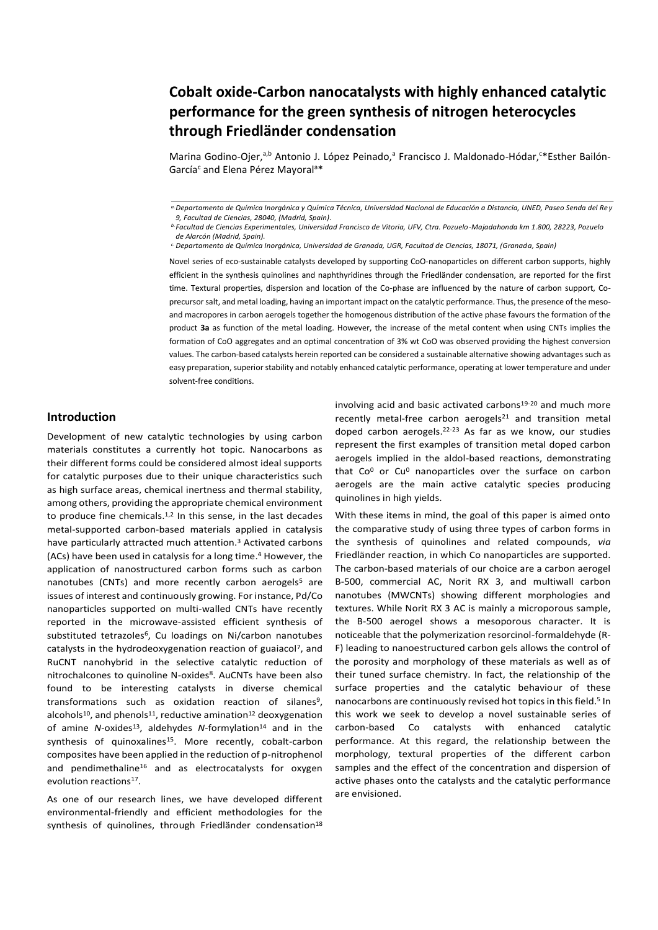# **Cobalt oxide-Carbon nanocatalysts with highly enhanced catalytic performance for the green synthesis of nitrogen heterocycles through Friedländer condensation**

Marina Godino-Ojer,<sup>a,b</sup> Antonio J. López Peinado,<sup>a</sup> Francisco J. Maldonado-Hódar,<sup>c\*</sup>Esther Bailón-García<sup>c</sup> and Elena Pérez Mayoral<sup>a\*</sup>

Novel series of eco-sustainable catalysts developed by supporting CoO-nanoparticles on different carbon supports, highly efficient in the synthesis quinolines and naphthyridines through the Friedländer condensation, are reported for the first time. Textural properties, dispersion and location of the Co-phase are influenced by the nature of carbon support, Coprecursor salt, and metal loading, having an important impact on the catalytic performance. Thus, the presence of the mesoand macropores in carbon aerogels together the homogenous distribution of the active phase favours the formation of the product **3a** as function of the metal loading. However, the increase of the metal content when using CNTs implies the formation of CoO aggregates and an optimal concentration of 3% wt CoO was observed providing the highest conversion values. The carbon-based catalysts herein reported can be considered a sustainable alternative showing advantages such as easy preparation, superior stability and notably enhanced catalytic performance, operating at lower temperature and under solvent-free conditions.

# **Introduction**

Development of new catalytic technologies by using carbon materials constitutes a currently hot topic. Nanocarbons as their different forms could be considered almost ideal supports for catalytic purposes due to their unique characteristics such as high surface areas, chemical inertness and thermal stability, among others, providing the appropriate chemical environment to produce fine chemicals.<sup>1,2</sup> In this sense, in the last decades metal-supported carbon-based materials applied in catalysis have particularly attracted much attention. <sup>3</sup> Activated carbons (ACs) have been used in catalysis for a long time. <sup>4</sup> However, the application of nanostructured carbon forms such as carbon nanotubes (CNTs) and more recently carbon aerogels<sup>5</sup> are issues of interest and continuously growing. For instance, Pd/Co nanoparticles supported on multi-walled CNTs have recently reported in the microwave-assisted efficient synthesis of substituted tetrazoles<sup>6</sup>, Cu loadings on Ni/carbon nanotubes catalysts in the hydrodeoxygenation reaction of guaiacol<sup>7</sup>, and RuCNT nanohybrid in the selective catalytic reduction of nitrochalcones to quinoline N-oxides<sup>8</sup>. AuCNTs have been also found to be interesting catalysts in diverse chemical transformations such as oxidation reaction of silanes<sup>9</sup>, alcohols<sup>10</sup>, and phenols<sup>11</sup>, reductive amination<sup>12</sup> deoxygenation of amine *N*-oxides<sup>13</sup>, aldehydes *N*-formylation<sup>14</sup> and in the synthesis of quinoxalines<sup>15</sup>. More recently, cobalt-carbon composites have been applied in the reduction of p-nitrophenol and pendimethaline<sup>16</sup> and as electrocatalysts for oxygen evolution reactions<sup>17</sup>.

As one of our research lines, we have developed different environmental-friendly and efficient methodologies for the synthesis of quinolines, through Friedländer condensation<sup>18</sup> involving acid and basic activated carbons<sup>19-20</sup> and much more recently metal-free carbon aerogels $21$  and transition metal doped carbon aerogels. 22-23 As far as we know, our studies represent the first examples of transition metal doped carbon aerogels implied in the aldol-based reactions, demonstrating that  $Co<sup>0</sup>$  or  $Cu<sup>0</sup>$  nanoparticles over the surface on carbon aerogels are the main active catalytic species producing quinolines in high yields.

With these items in mind, the goal of this paper is aimed onto the comparative study of using three types of carbon forms in the synthesis of quinolines and related compounds, *via* Friedländer reaction, in which Co nanoparticles are supported. The carbon-based materials of our choice are a carbon aerogel B-500, commercial AC, Norit RX 3, and multiwall carbon nanotubes (MWCNTs) showing different morphologies and textures. While Norit RX 3 AC is mainly a microporous sample, the B-500 aerogel shows a mesoporous character. It is noticeable that the polymerization resorcinol-formaldehyde (R-F) leading to nanoestructured carbon gels allows the control of the porosity and morphology of these materials as well as of their tuned surface chemistry. In fact, the relationship of the surface properties and the catalytic behaviour of these nanocarbons are continuously revised hot topics in this field.<sup>5</sup> In this work we seek to develop a novel sustainable series of carbon-based Co catalysts with enhanced catalytic performance. At this regard, the relationship between the morphology, textural properties of the different carbon samples and the effect of the concentration and dispersion of active phases onto the catalysts and the catalytic performance are envisioned.

*a.Departamento de Química Inorgánica y Química Técnica, Universidad Nacional de Educación a Distancia, UNED, Paseo Senda del Rey 9, Facultad de Ciencias, 28040, (Madrid, Spain).*

*b.Facultad de Ciencias Experimentales, Universidad Francisco de Vitoria, UFV, Ctra. Pozuelo-Majadahonda km 1.800, 28223, Pozuelo de Alarcón (Madrid, Spain).*

*c.Departamento de Química Inorgánica, Universidad de Granada, UGR, Facultad de Ciencias, 18071, (Granada, Spain)*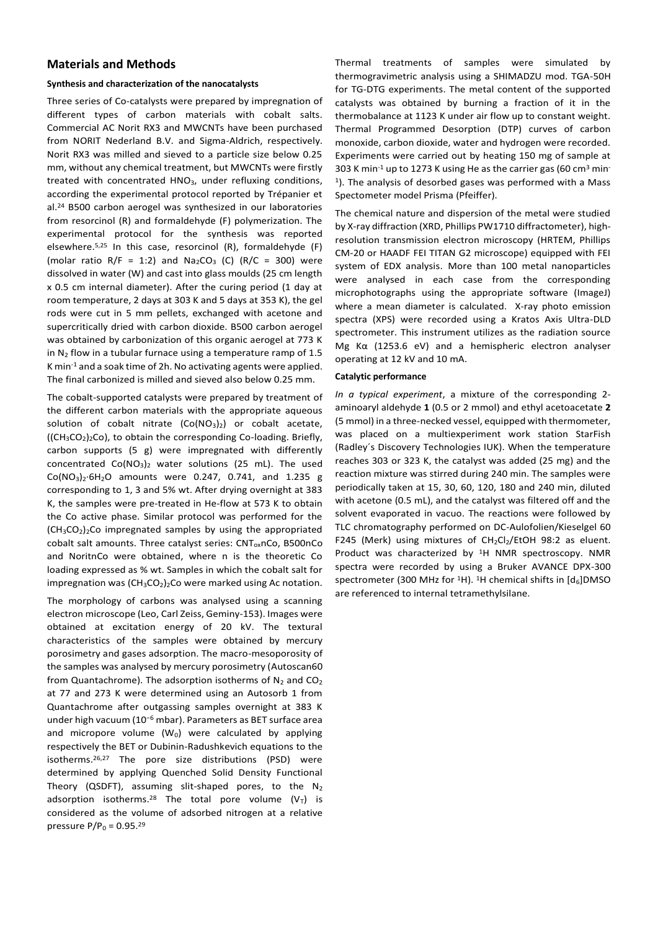# **Materials and Methods**

## **Synthesis and characterization of the nanocatalysts**

Three series of Co-catalysts were prepared by impregnation of different types of carbon materials with cobalt salts. Commercial AC Norit RX3 and MWCNTs have been purchased from NORIT Nederland B.V. and Sigma-Aldrich, respectively. Norit RX3 was milled and sieved to a particle size below 0.25 mm, without any chemical treatment, but MWCNTs were firstly treated with concentrated HNO<sub>3</sub>, under refluxing conditions, according the experimental protocol reported by Trépanier et al.<sup>24</sup> B500 carbon aerogel was synthesized in our laboratories from resorcinol (R) and formaldehyde (F) polymerization. The experimental protocol for the synthesis was reported elsewhere. 5,25 In this case, resorcinol (R), formaldehyde (F) (molar ratio R/F = 1:2) and  $Na<sub>2</sub>CO<sub>3</sub>$  (C) (R/C = 300) were dissolved in water (W) and cast into glass moulds (25 cm length x 0.5 cm internal diameter). After the curing period (1 day at room temperature, 2 days at 303 K and 5 days at 353 K), the gel rods were cut in 5 mm pellets, exchanged with acetone and supercritically dried with carbon dioxide. B500 carbon aerogel was obtained by carbonization of this organic aerogel at 773 K in  $N_2$  flow in a tubular furnace using a temperature ramp of 1.5 K min-1 and a soak time of 2h. No activating agents were applied. The final carbonized is milled and sieved also below 0.25 mm.

The cobalt-supported catalysts were prepared by treatment of the different carbon materials with the appropriate aqueous solution of cobalt nitrate  $(Co(NO<sub>3</sub>)<sub>2</sub>)$  or cobalt acetate,  $((CH<sub>3</sub>CO<sub>2</sub>)<sub>2</sub>CO)$ , to obtain the corresponding Co-loading. Briefly, carbon supports (5 g) were impregnated with differently concentrated  $Co(NO<sub>3</sub>)<sub>2</sub>$  water solutions (25 mL). The used Co(NO3)2·6H2O amounts were 0.247, 0.741, and 1.235 g corresponding to 1, 3 and 5% wt. After drying overnight at 383 K, the samples were pre-treated in He-flow at 573 K to obtain the Co active phase. Similar protocol was performed for the  $(CH<sub>3</sub>CO<sub>2</sub>)<sub>2</sub>$ Co impregnated samples by using the appropriated cobalt salt amounts. Three catalyst series: CNT<sub>ox</sub>nCo, B500nCo and NoritnCo were obtained, where n is the theoretic Co loading expressed as % wt. Samples in which the cobalt salt for impregnation was  $(CH_3CO_2)_2$ Co were marked using Ac notation.

The morphology of carbons was analysed using a scanning electron microscope (Leo, Carl Zeiss, Geminy-153). Images were obtained at excitation energy of 20 kV. The textural characteristics of the samples were obtained by mercury porosimetry and gases adsorption. The macro-mesoporosity of the samples was analysed by mercury porosimetry (Autoscan60 from Quantachrome). The adsorption isotherms of  $N_2$  and  $CO_2$ at 77 and 273 K were determined using an Autosorb 1 from Quantachrome after outgassing samples overnight at 383 K under high vacuum (10<sup>−</sup><sup>6</sup> mbar). Parameters as BET surface area and micropore volume  $(W_0)$  were calculated by applying respectively the BET or Dubinin-Radushkevich equations to the isotherms.<sup>26,27</sup> The pore size distributions (PSD) were determined by applying Quenched Solid Density Functional Theory (QSDFT), assuming slit-shaped pores, to the  $N_2$ adsorption isotherms.<sup>28</sup> The total pore volume  $(V_T)$  is considered as the volume of adsorbed nitrogen at a relative pressure  $P/P_0 = 0.95.^{29}$ 

Thermal treatments of samples were simulated by thermogravimetric analysis using a SHIMADZU mod. TGA-50H for TG-DTG experiments. The metal content of the supported catalysts was obtained by burning a fraction of it in the thermobalance at 1123 K under air flow up to constant weight. Thermal Programmed Desorption (DTP) curves of carbon monoxide, carbon dioxide, water and hydrogen were recorded. Experiments were carried out by heating 150 mg of sample at 303 K min<sup>-1</sup> up to 1273 K using He as the carrier gas (60 cm<sup>3</sup> min-1 ). The analysis of desorbed gases was performed with a Mass Spectometer model Prisma (Pfeiffer).

The chemical nature and dispersion of the metal were studied by X-ray diffraction (XRD, Phillips PW1710 diffractometer), highresolution transmission electron microscopy (HRTEM, Phillips CM-20 or HAADF FEI TITAN G2 microscope) equipped with FEI system of EDX analysis. More than 100 metal nanoparticles were analysed in each case from the corresponding microphotographs using the appropriate software (ImageJ) where a mean diameter is calculated. X-ray photo emission spectra (XPS) were recorded using a Kratos Axis Ultra-DLD spectrometer. This instrument utilizes as the radiation source Mg Kα (1253.6 eV) and a hemispheric electron analyser operating at 12 kV and 10 mA.

#### **Catalytic performance**

*In a typical experiment*, a mixture of the corresponding 2 aminoaryl aldehyde **1** (0.5 or 2 mmol) and ethyl acetoacetate **2**  (5 mmol) in a three-necked vessel, equipped with thermometer, was placed on a multiexperiment work station StarFish (Radley´s Discovery Technologies IUK). When the temperature reaches 303 or 323 K, the catalyst was added (25 mg) and the reaction mixture was stirred during 240 min. The samples were periodically taken at 15, 30, 60, 120, 180 and 240 min, diluted with acetone (0.5 mL), and the catalyst was filtered off and the solvent evaporated in vacuo. The reactions were followed by TLC chromatography performed on DC-Aulofolien/Kieselgel 60 F245 (Merk) using mixtures of  $CH_2Cl_2/EtOH$  98:2 as eluent. Product was characterized by <sup>1</sup>H NMR spectroscopy. NMR spectra were recorded by using a Bruker AVANCE DPX-300 spectrometer (300 MHz for <sup>1</sup>H). <sup>1</sup>H chemical shifts in  $[d_6]$ DMSO are referenced to internal tetramethylsilane.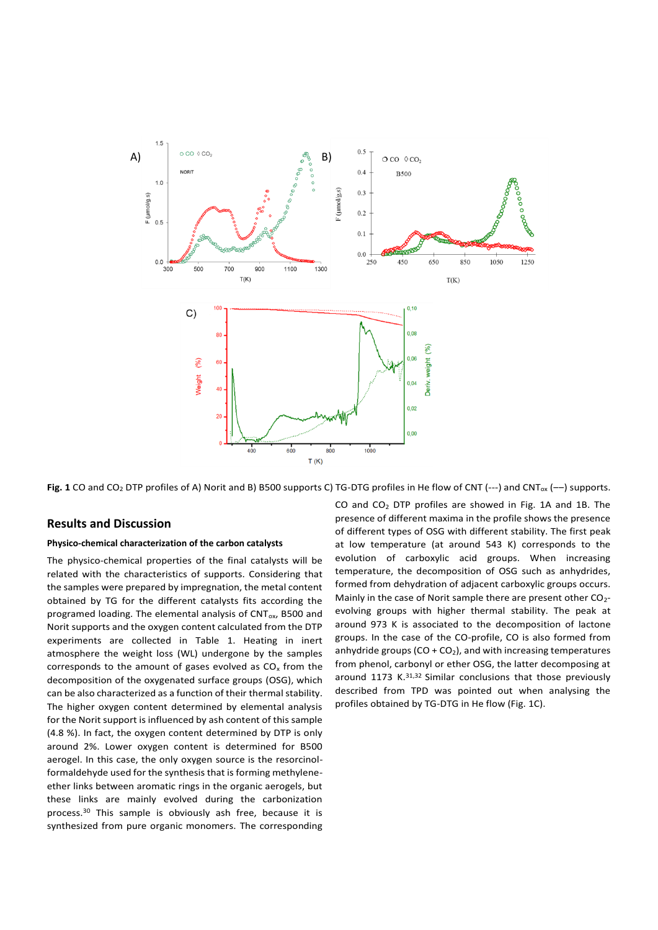

Fig. 1 CO and CO<sub>2</sub> DTP profiles of A) Norit and B) B500 supports C) TG-DTG profiles in He flow of CNT (---) and CNT<sub>ox</sub> (--) supports.

## **Results and Discussion**

## **Physico-chemical characterization of the carbon catalysts**

The physico-chemical properties of the final catalysts will be related with the characteristics of supports. Considering that the samples were prepared by impregnation, the metal content obtained by TG for the different catalysts fits according the programed loading. The elemental analysis of  $CNT_{ox}$ , B500 and Norit supports and the oxygen content calculated from the DTP experiments are collected in Table 1. Heating in inert atmosphere the weight loss (WL) undergone by the samples corresponds to the amount of gases evolved as  $CO<sub>x</sub>$  from the decomposition of the oxygenated surface groups (OSG), which can be also characterized as a function of their thermal stability. The higher oxygen content determined by elemental analysis for the Norit support is influenced by ash content of this sample (4.8 %). In fact, the oxygen content determined by DTP is only around 2%. Lower oxygen content is determined for B500 aerogel. In this case, the only oxygen source is the resorcinolformaldehyde used for the synthesis that is forming methyleneether links between aromatic rings in the organic aerogels, but these links are mainly evolved during the carbonization process.<sup>30</sup> This sample is obviously ash free, because it is synthesized from pure organic monomers. The corresponding

CO and  $CO<sub>2</sub>$  DTP profiles are showed in Fig. 1A and 1B. The presence of different maxima in the profile shows the presence of different types of OSG with different stability. The first peak at low temperature (at around 543 K) corresponds to the evolution of carboxylic acid groups. When increasing temperature, the decomposition of OSG such as anhydrides, formed from dehydration of adjacent carboxylic groups occurs. Mainly in the case of Norit sample there are present other  $CO<sub>2</sub>$ evolving groups with higher thermal stability. The peak at around 973 K is associated to the decomposition of lactone groups. In the case of the CO-profile, CO is also formed from anhydride groups  $(CO + CO<sub>2</sub>)$ , and with increasing temperatures from phenol, carbonyl or ether OSG, the latter decomposing at around 1173 K.<sup>31,32</sup> Similar conclusions that those previously described from TPD was pointed out when analysing the profiles obtained by TG-DTG in He flow (Fig. 1C).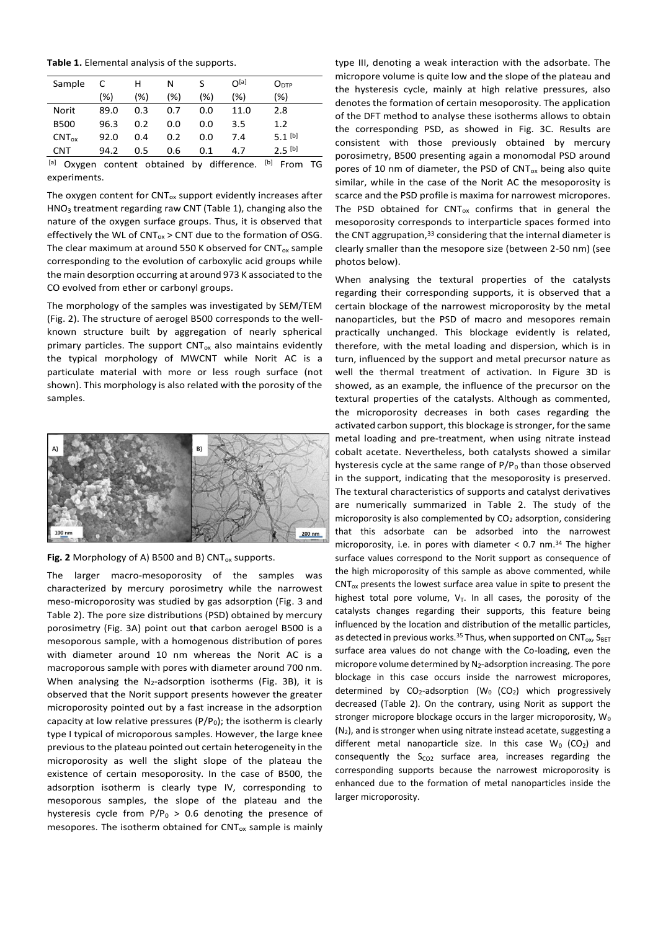**Table 1.** Elemental analysis of the supports.

| Sample        | C    | н   | N   |     | $\Omega^{[a]}$                  | O <sub>DTP</sub>   |    |
|---------------|------|-----|-----|-----|---------------------------------|--------------------|----|
|               | (%)  | (%) | (%) | (%) | (%)                             | (%)                |    |
| Norit         | 89.0 | 0.3 | 0.7 | 0.0 | 11.0                            | 2.8                |    |
| <b>B500</b>   | 96.3 | 0.2 | 0.0 | 0.0 | 3.5                             | 1.2                |    |
| $CNT_{ox}$    | 92.0 | 0.4 | 0.2 | 0.0 | 7.4                             | 5.1 <sup>[b]</sup> |    |
| <b>CNT</b>    | 94.2 | 0.5 | 0.6 | 0.1 | 4.7                             | $2.5$ [b]          |    |
| [a]<br>Oxvgen |      |     |     |     | content obtained by difference. | [b]<br>From        | TG |

<sup>[a]</sup> Oxygen content obtained by difference. <sup>[b]</sup> From TG experiments.

The oxygen content for  $CNT_{ox}$  support evidently increases after HNO<sup>3</sup> treatment regarding raw CNT (Table 1), changing also the nature of the oxygen surface groups. Thus, it is observed that effectively the WL of  $CNT_{ox}$  > CNT due to the formation of OSG. The clear maximum at around 550 K observed for  $CNT_{ox}$  sample corresponding to the evolution of carboxylic acid groups while the main desorption occurring at around 973 K associated to the CO evolved from ether or carbonyl groups.

The morphology of the samples was investigated by SEM/TEM (Fig. 2). The structure of aerogel B500 corresponds to the wellknown structure built by aggregation of nearly spherical primary particles. The support  $CNT_{ox}$  also maintains evidently the typical morphology of MWCNT while Norit AC is a particulate material with more or less rough surface (not shown). This morphology is also related with the porosity of the samples.



**Fig. 2** Morphology of A) B500 and B)  $CNT_{ox}$  supports.

The larger macro-mesoporosity of the samples was characterized by mercury porosimetry while the narrowest meso-microporosity was studied by gas adsorption (Fig. 3 and Table 2). The pore size distributions (PSD) obtained by mercury porosimetry (Fig. 3A) point out that carbon aerogel B500 is a mesoporous sample, with a homogenous distribution of pores with diameter around 10 nm whereas the Norit AC is a macroporous sample with pores with diameter around 700 nm. When analysing the  $N_2$ -adsorption isotherms (Fig. 3B), it is observed that the Norit support presents however the greater microporosity pointed out by a fast increase in the adsorption capacity at low relative pressures ( $P/P_0$ ); the isotherm is clearly type I typical of microporous samples. However, the large knee previous to the plateau pointed out certain heterogeneity in the microporosity as well the slight slope of the plateau the existence of certain mesoporosity. In the case of B500, the adsorption isotherm is clearly type IV, corresponding to mesoporous samples, the slope of the plateau and the hysteresis cycle from  $P/P_0 > 0.6$  denoting the presence of mesopores. The isotherm obtained for  $CNT_{ox}$  sample is mainly

type III, denoting a weak interaction with the adsorbate. The micropore volume is quite low and the slope of the plateau and the hysteresis cycle, mainly at high relative pressures, also denotes the formation of certain mesoporosity. The application of the DFT method to analyse these isotherms allows to obtain the corresponding PSD, as showed in Fig. 3C. Results are consistent with those previously obtained by mercury porosimetry, B500 presenting again a monomodal PSD around pores of 10 nm of diameter, the PSD of  $CNT_{ox}$  being also quite similar, while in the case of the Norit AC the mesoporosity is scarce and the PSD profile is maxima for narrowest micropores. The PSD obtained for  $CNT_{ox}$  confirms that in general the mesoporosity corresponds to interparticle spaces formed into the CNT aggrupation, <sup>33</sup> considering that the internal diameter is clearly smaller than the mesopore size (between 2-50 nm) (see photos below).

When analysing the textural properties of the catalysts regarding their corresponding supports, it is observed that a certain blockage of the narrowest microporosity by the metal nanoparticles, but the PSD of macro and mesopores remain practically unchanged. This blockage evidently is related, therefore, with the metal loading and dispersion, which is in turn, influenced by the support and metal precursor nature as well the thermal treatment of activation. In Figure 3D is showed, as an example, the influence of the precursor on the textural properties of the catalysts. Although as commented, the microporosity decreases in both cases regarding the activated carbon support, this blockage is stronger, for the same metal loading and pre-treatment, when using nitrate instead cobalt acetate. Nevertheless, both catalysts showed a similar hysteresis cycle at the same range of  $P/P<sub>0</sub>$  than those observed in the support, indicating that the mesoporosity is preserved. The textural characteristics of supports and catalyst derivatives are numerically summarized in Table 2. The study of the microporosity is also complemented by  $CO<sub>2</sub>$  adsorption, considering that this adsorbate can be adsorbed into the narrowest microporosity, i.e. in pores with diameter  $< 0.7$  nm.<sup>34</sup> The higher surface values correspond to the Norit support as consequence of the high microporosity of this sample as above commented, while  $CNT_{ox}$  presents the lowest surface area value in spite to present the highest total pore volume,  $V_T$ . In all cases, the porosity of the catalysts changes regarding their supports, this feature being influenced by the location and distribution of the metallic particles, as detected in previous works.<sup>35</sup> Thus, when supported on CNT<sub>ox</sub>,  $S_{BET}$ surface area values do not change with the Co-loading, even the micropore volume determined by N<sub>2</sub>-adsorption increasing. The pore blockage in this case occurs inside the narrowest micropores, determined by  $CO_2$ -adsorption (W<sub>0</sub> (CO<sub>2</sub>) which progressively decreased (Table 2). On the contrary, using Norit as support the stronger micropore blockage occurs in the larger microporosity,  $W_0$  $(N_2)$ , and is stronger when using nitrate instead acetate, suggesting a different metal nanoparticle size. In this case  $W_0$  (CO<sub>2</sub>) and consequently the  $S_{CO2}$  surface area, increases regarding the corresponding supports because the narrowest microporosity is enhanced due to the formation of metal nanoparticles inside the larger microporosity.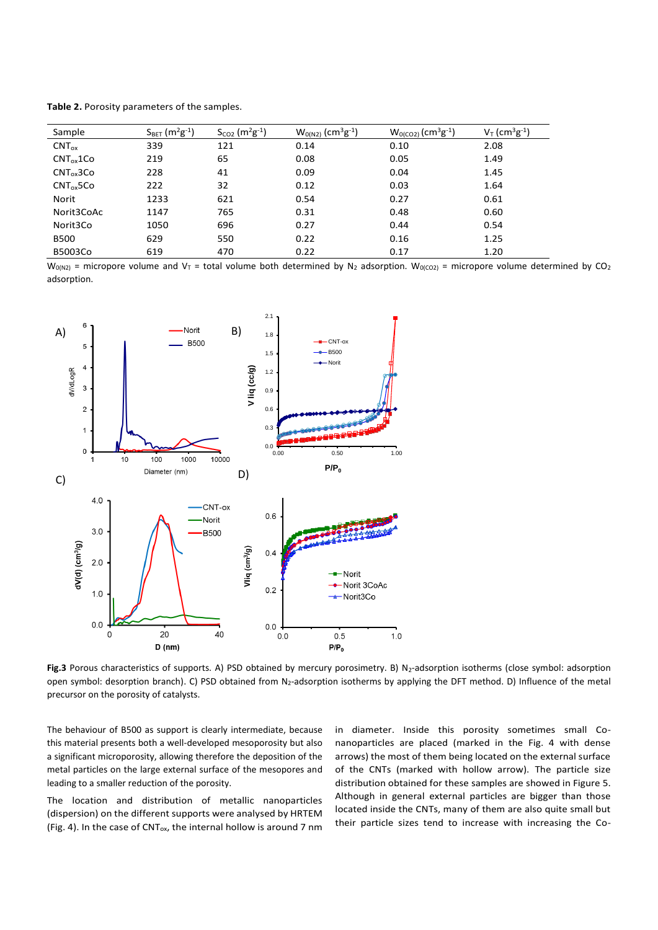| Table 2. Porosity parameters of the samples. |  |  |
|----------------------------------------------|--|--|
|----------------------------------------------|--|--|

| Sample            | $S_{BET}$ (m <sup>2</sup> g <sup>-1</sup> ) | $S_{CO2}$ (m <sup>2</sup> g <sup>-1</sup> ) | $W_{0(N2)}$ (cm <sup>3</sup> g <sup>-1</sup> ) | $W0(co2) (cm3g-1)$ | $V_T$ (cm <sup>3</sup> g <sup>-1</sup> ) |
|-------------------|---------------------------------------------|---------------------------------------------|------------------------------------------------|--------------------|------------------------------------------|
| $CNT_{ox}$        | 339                                         | 121                                         | 0.14                                           | 0.10               | 2.08                                     |
| $CNT_{ox}$ 1 $Co$ | 219                                         | 65                                          | 0.08                                           | 0.05               | 1.49                                     |
| $CNT_{ox}$ 3Co    | 228                                         | 41                                          | 0.09                                           | 0.04               | 1.45                                     |
| $CNT_{ox}5Co$     | 222                                         | 32                                          | 0.12                                           | 0.03               | 1.64                                     |
| Norit             | 1233                                        | 621                                         | 0.54                                           | 0.27               | 0.61                                     |
| Norit3CoAc        | 1147                                        | 765                                         | 0.31                                           | 0.48               | 0.60                                     |
| Norit3Co          | 1050                                        | 696                                         | 0.27                                           | 0.44               | 0.54                                     |
| <b>B500</b>       | 629                                         | 550                                         | 0.22                                           | 0.16               | 1.25                                     |
| B5003Co           | 619                                         | 470                                         | 0.22                                           | 0.17               | 1.20                                     |

 $W_{0(N2)}$  = micropore volume and V<sub>T</sub> = total volume both determined by N<sub>2</sub> adsorption.  $W_{0(CO2)}$  = micropore volume determined by CO<sub>2</sub> adsorption.



Fig.3 Porous characteristics of supports. A) PSD obtained by mercury porosimetry. B) N<sub>2</sub>-adsorption isotherms (close symbol: adsorption open symbol: desorption branch). C) PSD obtained from N2-adsorption isotherms by applying the DFT method. D) Influence of the metal precursor on the porosity of catalysts.

The behaviour of B500 as support is clearly intermediate, because this material presents both a well-developed mesoporosity but also a significant microporosity, allowing therefore the deposition of the metal particles on the large external surface of the mesopores and leading to a smaller reduction of the porosity.

The location and distribution of metallic nanoparticles (dispersion) on the different supports were analysed by HRTEM (Fig. 4). In the case of CNT<sub>ox</sub>, the internal hollow is around 7 nm

in diameter. Inside this porosity sometimes small Conanoparticles are placed (marked in the Fig. 4 with dense arrows) the most of them being located on the external surface of the CNTs (marked with hollow arrow). The particle size distribution obtained for these samples are showed in Figure 5. Although in general external particles are bigger than those located inside the CNTs, many of them are also quite small but their particle sizes tend to increase with increasing the Co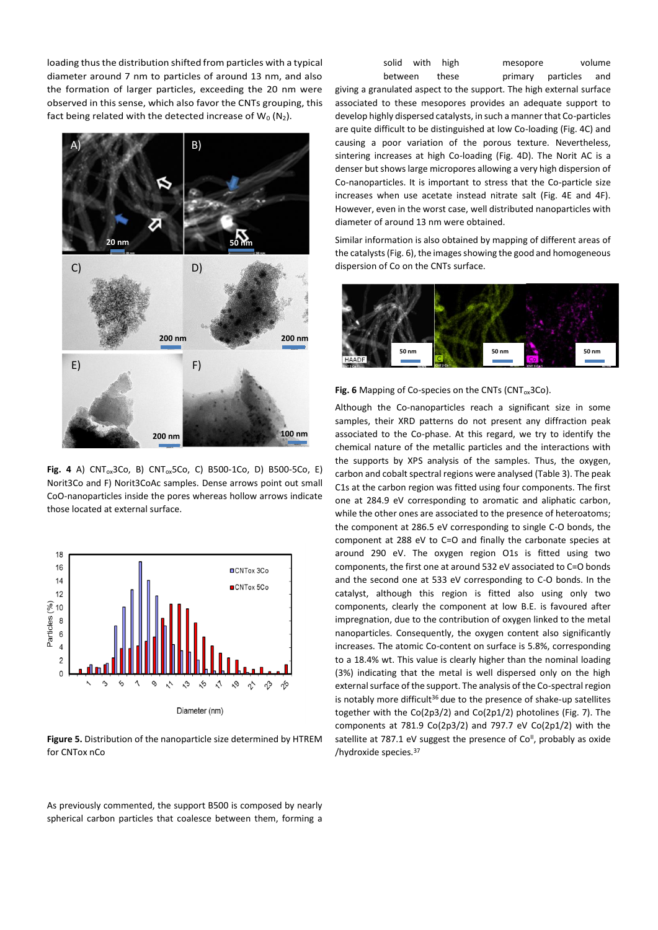loading thus the distribution shifted from particles with a typical diameter around 7 nm to particles of around 13 nm, and also the formation of larger particles, exceeding the 20 nm were observed in this sense, which also favor the CNTs grouping, this fact being related with the detected increase of  $W_0 (N_2)$ .



**Fig. 4** A) CNTox3Co, B) CNTox5Co, C) B500-1Co, D) B500-5Co, E) Norit3Co and F) Norit3CoAc samples. Dense arrows point out small CoO-nanoparticles inside the pores whereas hollow arrows indicate those located at external surface.



**Figure 5.** Distribution of the nanoparticle size determined by HTREM for CNTox nCo

As previously commented, the support B500 is composed by nearly spherical carbon particles that coalesce between them, forming a

| solid with high |       | mesopore              | volume |
|-----------------|-------|-----------------------|--------|
| between         | these | primary particles and |        |

giving a granulated aspect to the support. The high external surface associated to these mesopores provides an adequate support to develop highly dispersed catalysts, in such a manner that Co-particles are quite difficult to be distinguished at low Co-loading (Fig. 4C) and causing a poor variation of the porous texture. Nevertheless, sintering increases at high Co-loading (Fig. 4D). The Norit AC is a denser but shows large micropores allowing a very high dispersion of Co-nanoparticles. It is important to stress that the Co-particle size increases when use acetate instead nitrate salt (Fig. 4E and 4F). However, even in the worst case, well distributed nanoparticles with diameter of around 13 nm were obtained.

Similar information is also obtained by mapping of different areas of the catalysts (Fig. 6), the images showing the good and homogeneous dispersion of Co on the CNTs surface.



#### Fig. 6 Mapping of Co-species on the CNTs (CNT<sub>ox</sub>3Co).

Although the Co-nanoparticles reach a significant size in some samples, their XRD patterns do not present any diffraction peak associated to the Co-phase. At this regard, we try to identify the chemical nature of the metallic particles and the interactions with the supports by XPS analysis of the samples. Thus, the oxygen, carbon and cobalt spectral regions were analysed (Table 3). The peak C1s at the carbon region was fitted using four components. The first one at 284.9 eV corresponding to aromatic and aliphatic carbon, while the other ones are associated to the presence of heteroatoms; the component at 286.5 eV corresponding to single C-O bonds, the component at 288 eV to C=O and finally the carbonate species at around 290 eV. The oxygen region O1s is fitted using two components, the first one at around 532 eV associated to C=O bonds and the second one at 533 eV corresponding to C-O bonds. In the catalyst, although this region is fitted also using only two components, clearly the component at low B.E. is favoured after impregnation, due to the contribution of oxygen linked to the metal nanoparticles. Consequently, the oxygen content also significantly increases. The atomic Co-content on surface is 5.8%, corresponding to a 18.4% wt. This value is clearly higher than the nominal loading (3%) indicating that the metal is well dispersed only on the high external surface of the support. The analysis of the Co-spectral region is notably more difficult<sup>36</sup> due to the presence of shake-up satellites together with the Co(2p3/2) and Co(2p1/2) photolines (Fig. 7). The components at 781.9 Co(2p3/2) and 797.7 eV Co(2p1/2) with the satellite at 787.1 eV suggest the presence of Co<sup>II</sup>, probably as oxide /hydroxide species.<sup>37</sup>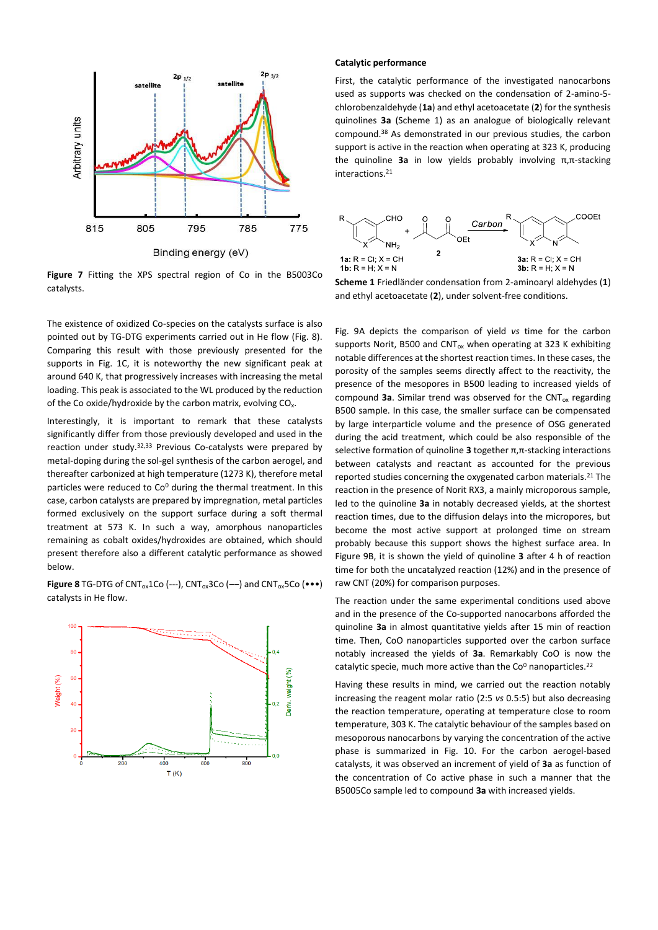

**Figure 7** Fitting the XPS spectral region of Co in the B5003Co catalysts.

The existence of oxidized Co-species on the catalysts surface is also pointed out by TG-DTG experiments carried out in He flow (Fig. 8). Comparing this result with those previously presented for the supports in Fig. 1C, it is noteworthy the new significant peak at around 640 K, that progressively increases with increasing the metal loading. This peak is associated to the WL produced by the reduction of the Co oxide/hydroxide by the carbon matrix, evolving CO<sub>x</sub>.

Interestingly, it is important to remark that these catalysts significantly differ from those previously developed and used in the reaction under study.32,33 Previous Co-catalysts were prepared by metal-doping during the sol-gel synthesis of the carbon aerogel, and thereafter carbonized at high temperature (1273 K), therefore metal particles were reduced to Co<sup>0</sup> during the thermal treatment. In this case, carbon catalysts are prepared by impregnation, metal particles formed exclusively on the support surface during a soft thermal treatment at 573 K. In such a way, amorphous nanoparticles remaining as cobalt oxides/hydroxides are obtained, which should present therefore also a different catalytic performance as showed below.

**Figure 8** TG-DTG of CNT<sub>ox</sub>1Co (---), CNT<sub>ox</sub>3Co (---) and CNT<sub>ox</sub>5Co ( $\bullet\bullet\bullet$ ) catalysts in He flow.



#### **Catalytic performance**

First, the catalytic performance of the investigated nanocarbons used as supports was checked on the condensation of 2-amino-5 chlorobenzaldehyde (**1a**) and ethyl acetoacetate (**2**) for the synthesis quinolines **3a** (Scheme 1) as an analogue of biologically relevant compound.<sup>38</sup> As demonstrated in our previous studies, the carbon support is active in the reaction when operating at 323 K, producing the quinoline **3a** in low yields probably involving π,π-stacking interactions.<sup>21</sup>



**Scheme 1** Friedländer condensation from 2-aminoaryl aldehydes (**1**) and ethyl acetoacetate (**2**), under solvent-free conditions.

Fig. 9A depicts the comparison of yield *vs* time for the carbon supports Norit, B500 and  $CNT_{ox}$  when operating at 323 K exhibiting notable differences at the shortest reaction times. In these cases, the porosity of the samples seems directly affect to the reactivity, the presence of the mesopores in B500 leading to increased yields of compound 3a. Similar trend was observed for the CNT<sub>ox</sub> regarding B500 sample. In this case, the smaller surface can be compensated by large interparticle volume and the presence of OSG generated during the acid treatment, which could be also responsible of the selective formation of quinoline **3** together π,π-stacking interactions between catalysts and reactant as accounted for the previous reported studies concerning the oxygenated carbon materials.<sup>21</sup> The reaction in the presence of Norit RX3, a mainly microporous sample, led to the quinoline **3a** in notably decreased yields, at the shortest reaction times, due to the diffusion delays into the micropores, but become the most active support at prolonged time on stream probably because this support shows the highest surface area. In Figure 9B, it is shown the yield of quinoline **3** after 4 h of reaction time for both the uncatalyzed reaction (12%) and in the presence of raw CNT (20%) for comparison purposes.

The reaction under the same experimental conditions used above and in the presence of the Co-supported nanocarbons afforded the quinoline **3a** in almost quantitative yields after 15 min of reaction time. Then, CoO nanoparticles supported over the carbon surface notably increased the yields of **3a**. Remarkably CoO is now the catalytic specie, much more active than the  $Co<sup>0</sup>$  nanoparticles.<sup>22</sup>

Having these results in mind, we carried out the reaction notably increasing the reagent molar ratio (2:5 *vs* 0.5:5) but also decreasing the reaction temperature, operating at temperature close to room temperature, 303 K. The catalytic behaviour of the samples based on mesoporous nanocarbons by varying the concentration of the active phase is summarized in Fig. 10. For the carbon aerogel-based catalysts, it was observed an increment of yield of **3a** as function of the concentration of Co active phase in such a manner that the B5005Co sample led to compound **3a** with increased yields.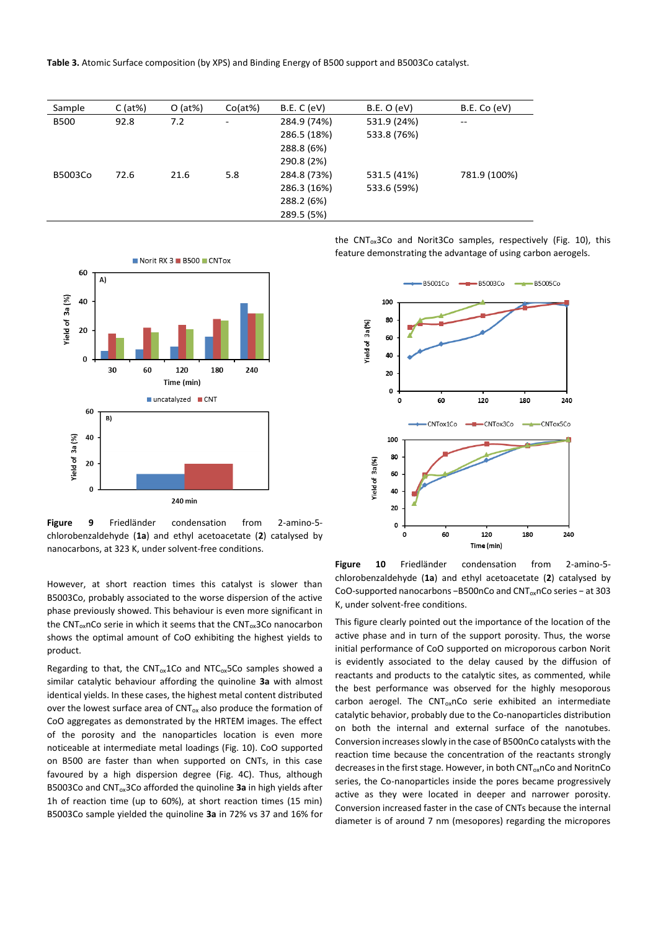**Table 3.** Atomic Surface composition (by XPS) and Binding Energy of B500 support and B5003Co catalyst.

| Sample      | $C$ (at%) | $O$ (at%) | Co(at%) | B.E. C (eV) | B.E. O (eV) | B.E. Co (eV) |
|-------------|-----------|-----------|---------|-------------|-------------|--------------|
| <b>B500</b> | 92.8      | 7.2       | ۰       | 284.9 (74%) | 531.9 (24%) | --           |
|             |           |           |         | 286.5 (18%) | 533.8 (76%) |              |
|             |           |           |         | 288.8 (6%)  |             |              |
|             |           |           |         | 290.8 (2%)  |             |              |
| B5003Co     | 72.6      | 21.6      | 5.8     | 284.8 (73%) | 531.5 (41%) | 781.9 (100%) |
|             |           |           |         | 286.3 (16%) | 533.6 (59%) |              |
|             |           |           |         | 288.2 (6%)  |             |              |
|             |           |           |         | 289.5 (5%)  |             |              |



**Figure 9** Friedländer condensation from 2-amino-5 chlorobenzaldehyde (**1a**) and ethyl acetoacetate (**2**) catalysed by nanocarbons, at 323 K, under solvent-free conditions.

However, at short reaction times this catalyst is slower than B5003Co, probably associated to the worse dispersion of the active phase previously showed. This behaviour is even more significant in the CNT<sub>ox</sub>nCo serie in which it seems that the CNT<sub>ox</sub>3Co nanocarbon shows the optimal amount of CoO exhibiting the highest yields to product.

Regarding to that, the  $CNT_{ox}$ 1Co and NTC<sub>ox</sub>5Co samples showed a similar catalytic behaviour affording the quinoline **3a** with almost identical yields. In these cases, the highest metal content distributed over the lowest surface area of  $CNT_{ox}$  also produce the formation of CoO aggregates as demonstrated by the HRTEM images. The effect of the porosity and the nanoparticles location is even more noticeable at intermediate metal loadings (Fig. 10). CoO supported on B500 are faster than when supported on CNTs, in this case favoured by a high dispersion degree (Fig. 4C). Thus, although B5003Co and CNTox3Co afforded the quinoline **3a** in high yields after 1h of reaction time (up to 60%), at short reaction times (15 min) B5003Co sample yielded the quinoline **3a** in 72% vs 37 and 16% for the CNT $_{ox}$ 3Co and Norit3Co samples, respectively (Fig. 10), this feature demonstrating the advantage of using carbon aerogels.



**Figure 10** Friedländer condensation from 2-amino-5 chlorobenzaldehyde (**1a**) and ethyl acetoacetate (**2**) catalysed by CoO-supported nanocarbons −B500nCo and CNT<sub>ox</sub>nCo series – at 303 K, under solvent-free conditions.

This figure clearly pointed out the importance of the location of the active phase and in turn of the support porosity. Thus, the worse initial performance of CoO supported on microporous carbon Norit is evidently associated to the delay caused by the diffusion of reactants and products to the catalytic sites, as commented, while the best performance was observed for the highly mesoporous carbon aerogel. The  $CNT_{ox}$ nCo serie exhibited an intermediate catalytic behavior, probably due to the Co-nanoparticles distribution on both the internal and external surface of the nanotubes. Conversion increases slowly in the case of B500nCo catalysts with the reaction time because the concentration of the reactants strongly decreases in the first stage. However, in both CNT<sub>ox</sub>nCo and NoritnCo series, the Co-nanoparticles inside the pores became progressively active as they were located in deeper and narrower porosity. Conversion increased faster in the case of CNTs because the internal diameter is of around 7 nm (mesopores) regarding the micropores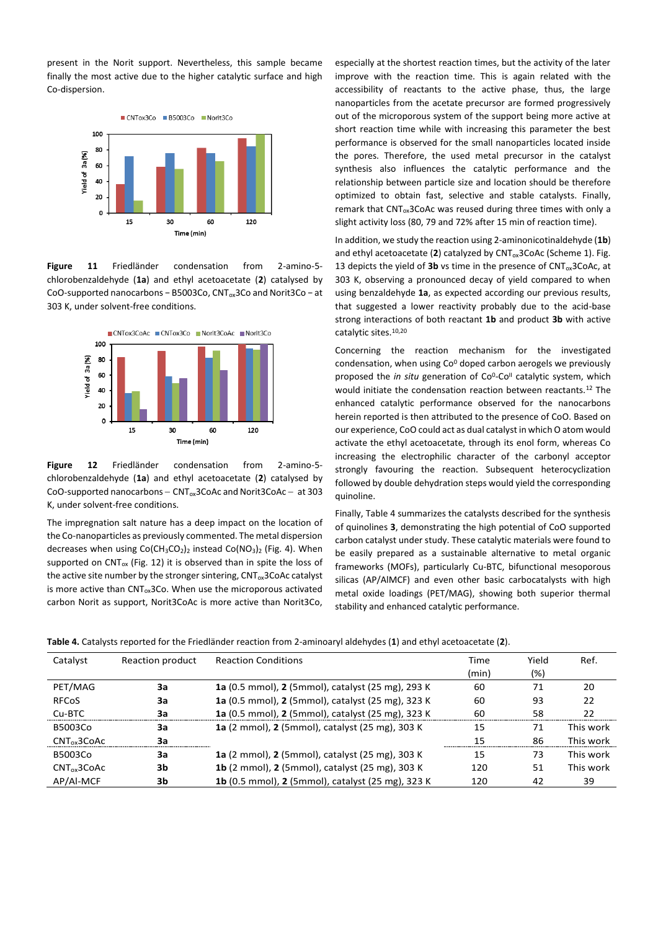present in the Norit support. Nevertheless, this sample became finally the most active due to the higher catalytic surface and high Co-dispersion.



**Figure 11** Friedländer condensation from 2-amino-5 chlorobenzaldehyde (**1a**) and ethyl acetoacetate (**2**) catalysed by CoO-supported nanocarbons − B5003Co, CNTox3Co and Norit3Co − at 303 K, under solvent-free conditions.



**Figure 12** Friedländer condensation from 2-amino-5 chlorobenzaldehyde (**1a**) and ethyl acetoacetate (**2**) catalysed by CoO-supported nanocarbons – CNT<sub>ox</sub>3CoAc and Norit3CoAc – at 303 K, under solvent-free conditions.

The impregnation salt nature has a deep impact on the location of the Co-nanoparticles as previously commented. The metal dispersion decreases when using  $Co(CH_3CO_2)_2$  instead  $Co(NO_3)_2$  (Fig. 4). When supported on  $CNT_{ox}$  (Fig. 12) it is observed than in spite the loss of the active site number by the stronger sintering,  $CNT_{ox}3CoAc$  catalyst is more active than  $CNT_{ox}3Co$ . When use the microporous activated carbon Norit as support, Norit3CoAc is more active than Norit3Co,

especially at the shortest reaction times, but the activity of the later improve with the reaction time. This is again related with the accessibility of reactants to the active phase, thus, the large nanoparticles from the acetate precursor are formed progressively out of the microporous system of the support being more active at short reaction time while with increasing this parameter the best performance is observed for the small nanoparticles located inside the pores. Therefore, the used metal precursor in the catalyst synthesis also influences the catalytic performance and the relationship between particle size and location should be therefore optimized to obtain fast, selective and stable catalysts. Finally, remark that  $CNT_{ox}3CoAc$  was reused during three times with only a slight activity loss (80, 79 and 72% after 15 min of reaction time).

In addition, we study the reaction using 2-aminonicotinaldehyde (**1b**) and ethyl acetoacetate (2) catalyzed by CNT<sub>ox</sub>3CoAc (Scheme 1). Fig. 13 depicts the yield of **3b** vs time in the presence of  $CNT_{ox}3CoAc$ , at 303 K, observing a pronounced decay of yield compared to when using benzaldehyde **1a**, as expected according our previous results, that suggested a lower reactivity probably due to the acid-base strong interactions of both reactant **1b** and product **3b** with active catalytic sites.10,20

Concerning the reaction mechanism for the investigated condensation, when using  $Co<sup>0</sup>$  doped carbon aerogels we previously proposed the *in situ* generation of Co<sup>o</sup>-Co<sup>II</sup> catalytic system, which would initiate the condensation reaction between reactants.<sup>12</sup> The enhanced catalytic performance observed for the nanocarbons herein reported is then attributed to the presence of CoO. Based on our experience, CoO could act as dual catalyst in which O atom would activate the ethyl acetoacetate, through its enol form, whereas Co increasing the electrophilic character of the carbonyl acceptor strongly favouring the reaction. Subsequent heterocyclization followed by double dehydration steps would yield the corresponding quinoline.

Finally, Table 4 summarizes the catalysts described for the synthesis of quinolines **3**, demonstrating the high potential of CoO supported carbon catalyst under study. These catalytic materials were found to be easily prepared as a sustainable alternative to metal organic frameworks (MOFs), particularly Cu-BTC, bifunctional mesoporous silicas (AP/AlMCF) and even other basic carbocatalysts with high metal oxide loadings (PET/MAG), showing both superior thermal stability and enhanced catalytic performance.

**Table 4.** Catalysts reported for the Friedländer reaction from 2-aminoaryl aldehydes (**1**) and ethyl acetoacetate (**2**).

| Catalyst         | Reaction product | <b>Reaction Conditions</b>                                     | Time  | Yield | Ref.      |
|------------------|------------------|----------------------------------------------------------------|-------|-------|-----------|
|                  |                  |                                                                | (min) | (%)   |           |
| PET/MAG          | 3a               | 1a (0.5 mmol), 2 (5 mmol), catalyst (25 mg), 293 K             | 60    | 71    | 20        |
| <b>RFCoS</b>     | За               | 1a (0.5 mmol), 2 (5 mmol), catalyst (25 mg), 323 K             | 60    | 93    | 22        |
| Cu-BTC           | 3a               | 1a (0.5 mmol), 2 (5 mmol), catalyst (25 mg), 323 K             | 60    | 58    | 22        |
| B5003Co          | За               | 1a (2 mmol), 2 (5 mmol), catalyst (25 mg), 303 K               | 15    | 71    | This work |
| $CNT_{ox}$ 3CoAc | За               |                                                                | 15    | 86    | This work |
| B5003Co          | За               | 1a (2 mmol), 2 (5 mmol), catalyst (25 mg), 303 K               | 15    | 73    | This work |
| $CNT_{ox}$ 3CoAc | 3b               | <b>1b</b> (2 mmol), <b>2</b> (5 mmol), catalyst (25 mg), 303 K | 120   | 51    | This work |
| AP/AI-MCF        | 3b               | 1b (0.5 mmol), 2 (5 mmol), catalyst (25 mg), 323 K             | 120   | 42    | 39        |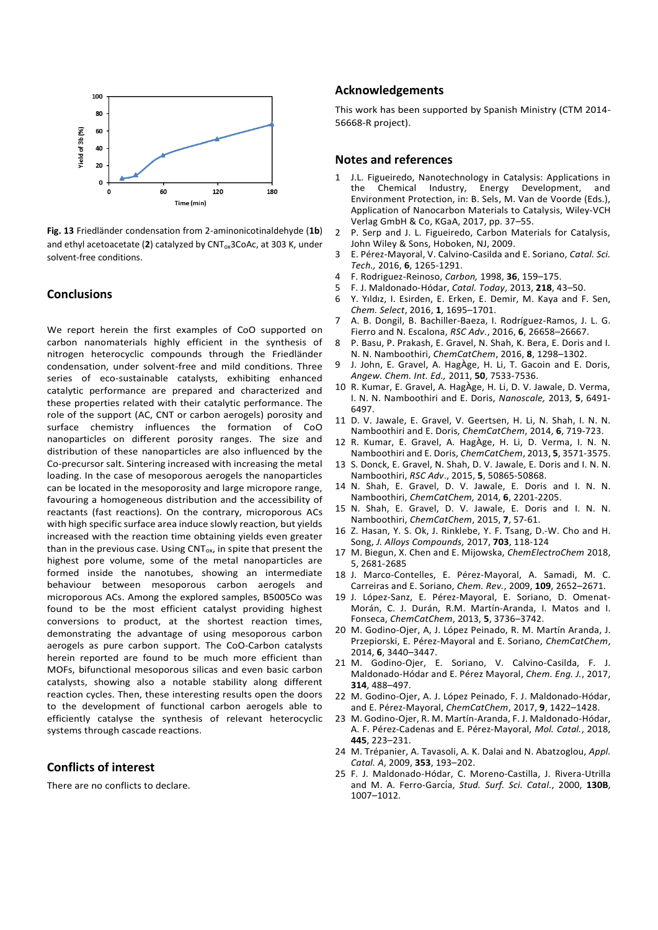

**Fig. 13** Friedländer condensation from 2-aminonicotinaldehyde (**1b**) and ethyl acetoacetate (2) catalyzed by CNT<sub>ox</sub>3CoAc, at 303 K, under solvent-free conditions.

### **Conclusions**

We report herein the first examples of CoO supported on carbon nanomaterials highly efficient in the synthesis of nitrogen heterocyclic compounds through the Friedländer condensation, under solvent-free and mild conditions. Three series of eco-sustainable catalysts, exhibiting enhanced catalytic performance are prepared and characterized and these properties related with their catalytic performance. The role of the support (AC, CNT or carbon aerogels) porosity and surface chemistry influences the formation of CoO nanoparticles on different porosity ranges. The size and distribution of these nanoparticles are also influenced by the Co-precursor salt. Sintering increased with increasing the metal loading. In the case of mesoporous aerogels the nanoparticles can be located in the mesoporosity and large micropore range, favouring a homogeneous distribution and the accessibility of reactants (fast reactions). On the contrary, microporous ACs with high specific surface area induce slowly reaction, but yields increased with the reaction time obtaining yields even greater than in the previous case. Using  $CNT_{ox}$ , in spite that present the highest pore volume, some of the metal nanoparticles are formed inside the nanotubes, showing an intermediate behaviour between mesoporous carbon aerogels and microporous ACs. Among the explored samples, B5005Co was found to be the most efficient catalyst providing highest conversions to product, at the shortest reaction times, demonstrating the advantage of using mesoporous carbon aerogels as pure carbon support. The CoO-Carbon catalysts herein reported are found to be much more efficient than MOFs, bifunctional mesoporous silicas and even basic carbon catalysts, showing also a notable stability along different reaction cycles. Then, these interesting results open the doors to the development of functional carbon aerogels able to efficiently catalyse the synthesis of relevant heterocyclic systems through cascade reactions.

# **Conflicts of interest**

There are no conflicts to declare.

# **Acknowledgements**

This work has been supported by Spanish Ministry (CTM 2014- 56668-R project).

### **Notes and references**

- 1 J.L. Figueiredo, Nanotechnology in Catalysis: Applications in Chemical Industry, Energy Development, Environment Protection, in: B. Sels, M. Van de Voorde (Eds.), Application of Nanocarbon Materials to Catalysis, Wiley-VCH Verlag GmbH & Co, KGaA, 2017, pp. 37–55.
- 2 P. Serp and J. L. Figueiredo, Carbon Materials for Catalysis, John Wiley & Sons, Hoboken, NJ, 2009.
- 3 E. Pérez-Mayoral, V. Calvino-Casilda and E. Soriano, *Catal. Sci. Tech.,* 2016, **6**, 1265-1291.
- 4 F. Rodriguez-Reinoso, *Carbon,* 1998, **36**, 159–175.
- 5 F. J. Maldonado-Hódar, *Catal. Today*, 2013, **218**, 43–50.
- 6 Y. Yıldız, I. Esirden, E. Erken, E. Demir, M. Kaya and F. Sen, *Chem. Select*, 2016, **1**, 1695–1701.
- 7 A. B. Dongil, B. Bachiller-Baeza, I. Rodríguez-Ramos, J. L. G. Fierro and N. Escalona, *RSC Adv.*, 2016, **6**, 26658–26667.
- 8 P. Basu, P. Prakash, E. Gravel, N. Shah, K. Bera, E. Doris and I. N. N. Namboothiri, *ChemCatChem*, 2016, **8**, 1298–1302.
- 9 J. John, E. Gravel, A. HagÀge, H. Li, T. Gacoin and E. Doris, *Angew. Chem. Int. Ed.,* 2011, **50**, 7533-7536.
- 10 R. Kumar, E. Gravel, A. HagÀge, H. Li, D. V. Jawale, D. Verma, I. N. N. Namboothiri and E. Doris, *Nanoscale,* 2013, **5**, 6491- 6497.
- 11 D. V. Jawale, E. Gravel, V. Geertsen, H. Li, N. Shah, I. N. N. Namboothiri and E. Doris, *ChemCatChem*, 2014, **6**, 719-723.
- 12 R. Kumar, E. Gravel, A. HagÀge, H. Li, D. Verma, I. N. N. Namboothiri and E. Doris, *ChemCatChem*, 2013, **5**, 3571-3575.
- 13 S. Donck, E. Gravel, N. Shah, D. V. Jawale, E. Doris and I. N. N. Namboothiri, *RSC Adv*., 2015, **5**, 50865-50868.
- 14 N. Shah, E. Gravel, D. V. Jawale, E. Doris and I. N. N. Namboothiri, *ChemCatChem,* 2014, **6**, 2201-2205.
- 15 N. Shah, E. Gravel, D. V. Jawale, E. Doris and I. N. N. Namboothiri, *ChemCatChem*, 2015, **7**, 57-61.
- 16 Z. Hasan, Y. S. Ok, J. Rinklebe, Y. F. Tsang, D.-W. Cho and H. Song, *J. Alloys Compounds,* 2017, **703**, 118-124
- 17 M. Biegun, X. Chen and E. Mijowska, *ChemElectroChem* 2018, 5, 2681-2685
- 18 J. Marco-Contelles, E. Pérez-Mayoral, A. Samadi, M. C. Carreiras and E. Soriano, *Chem. Rev.*, 2009, **109**, 2652–2671.
- 19 J. López-Sanz, E. Pérez-Mayoral, E. Soriano, D. Omenat-Morán, C. J. Durán, R.M. Martín-Aranda, I. Matos and I. Fonseca, *ChemCatChem*, 2013, **5**, 3736–3742.
- 20 M. Godino-Ojer, A, J. López Peinado, R. M. Martín Aranda, J. Przepiorski, E. Pérez-Mayoral and E. Soriano, *ChemCatChem*, 2014, **6**, 3440–3447.
- 21 M. Godino-Ojer, E. Soriano, V. Calvino-Casilda, F. J. Maldonado-Hódar and E. Pérez Mayoral, *Chem. Eng. J.*, 2017, **314**, 488–497.
- 22 M. Godino-Ojer, A. J. López Peinado, F. J. Maldonado-Hódar, and E. Pérez-Mayoral, *ChemCatChem*, 2017, **9**, 1422–1428.
- 23 M. Godino-Ojer, R. M. Martín-Aranda, F. J. Maldonado-Hódar, A. F. Pérez-Cadenas and E. Pérez-Mayoral, *Mol. Catal.*, 2018, **445**, 223–231.
- 24 M. Trépanier, A. Tavasoli, A. K. Dalai and N. Abatzoglou, *Appl. Catal. A*, 2009, **353**, 193–202.
- 25 F. J. Maldonado-Hódar, C. Moreno-Castilla, J. Rivera-Utrilla and M. A. Ferro-García, Stud. Surf. Sci. Catal., 2000, 130B, 1007–1012.